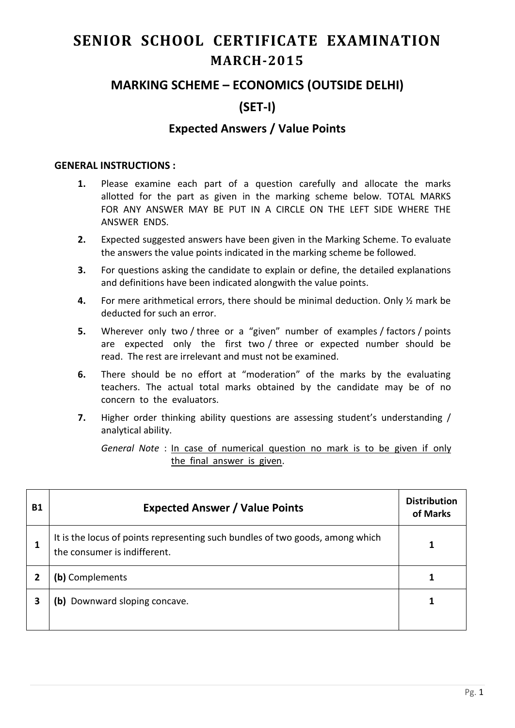# **SENIOR SCHOOL CERTIFICATE EXAMINATION MARCH-2015**

## **MARKING SCHEME – ECONOMICS (OUTSIDE DELHI)**

# **(SET-I)**

### **Expected Answers / Value Points**

#### **GENERAL INSTRUCTIONS :**

- **1.** Please examine each part of a question carefully and allocate the marks allotted for the part as given in the marking scheme below. TOTAL MARKS FOR ANY ANSWER MAY BE PUT IN A CIRCLE ON THE LEFT SIDE WHERE THE ANSWER ENDS.
- **2.** Expected suggested answers have been given in the Marking Scheme. To evaluate the answers the value points indicated in the marking scheme be followed.
- **3.** For questions asking the candidate to explain or define, the detailed explanations and definitions have been indicated alongwith the value points.
- **4.** For mere arithmetical errors, there should be minimal deduction. Only ½ mark be deducted for such an error.
- **5.** Wherever only two / three or a "given" number of examples / factors / points are expected only the first two / three or expected number should be read. The rest are irrelevant and must not be examined.
- **6.** There should be no effort at "moderation" of the marks by the evaluating teachers. The actual total marks obtained by the candidate may be of no concern to the evaluators.
- **7.** Higher order thinking ability questions are assessing student's understanding / analytical ability.

*General Note* : In case of numerical question no mark is to be given if only the final answer is given.

| Β1 | <b>Expected Answer / Value Points</b>                                                                         | <b>Distribution</b><br>of Marks |
|----|---------------------------------------------------------------------------------------------------------------|---------------------------------|
|    | It is the locus of points representing such bundles of two goods, among which<br>the consumer is indifferent. |                                 |
|    | (b) Complements                                                                                               |                                 |
| 3  | (b) Downward sloping concave.                                                                                 |                                 |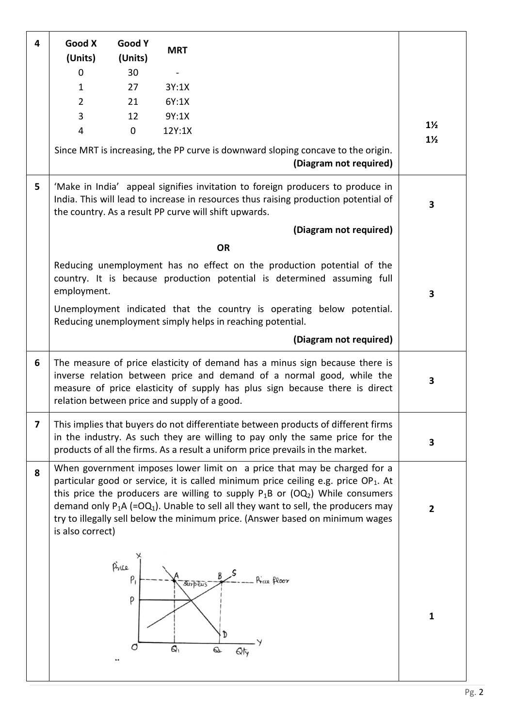| 4                       | Good X<br>(Units)                                                                                                                                                | Good Y<br>(Units)        | <b>MRT</b>                  |                                                                                                                                                                                                                                                                                                                                                                                                                                                               |                |
|-------------------------|------------------------------------------------------------------------------------------------------------------------------------------------------------------|--------------------------|-----------------------------|---------------------------------------------------------------------------------------------------------------------------------------------------------------------------------------------------------------------------------------------------------------------------------------------------------------------------------------------------------------------------------------------------------------------------------------------------------------|----------------|
|                         | $\Omega$                                                                                                                                                         | 30                       |                             |                                                                                                                                                                                                                                                                                                                                                                                                                                                               |                |
|                         | $\mathbf{1}$                                                                                                                                                     | 27                       | 3Y:1X                       |                                                                                                                                                                                                                                                                                                                                                                                                                                                               |                |
|                         | $\overline{2}$                                                                                                                                                   | 21                       | 6Y:1X                       |                                                                                                                                                                                                                                                                                                                                                                                                                                                               |                |
|                         | 3                                                                                                                                                                | 12                       | 9Y:1X                       |                                                                                                                                                                                                                                                                                                                                                                                                                                                               |                |
|                         | $\overline{4}$                                                                                                                                                   | $\mathbf 0$              | 12Y:1X                      |                                                                                                                                                                                                                                                                                                                                                                                                                                                               | $1\frac{1}{2}$ |
|                         |                                                                                                                                                                  |                          |                             | Since MRT is increasing, the PP curve is downward sloping concave to the origin.<br>(Diagram not required)                                                                                                                                                                                                                                                                                                                                                    | $1\frac{1}{2}$ |
| 5                       |                                                                                                                                                                  |                          |                             | 'Make in India' appeal signifies invitation to foreign producers to produce in<br>India. This will lead to increase in resources thus raising production potential of<br>the country. As a result PP curve will shift upwards.                                                                                                                                                                                                                                | 3              |
|                         |                                                                                                                                                                  |                          |                             | (Diagram not required)                                                                                                                                                                                                                                                                                                                                                                                                                                        |                |
|                         |                                                                                                                                                                  |                          |                             | <b>OR</b>                                                                                                                                                                                                                                                                                                                                                                                                                                                     |                |
|                         | Reducing unemployment has no effect on the production potential of the<br>country. It is because production potential is determined assuming full<br>employment. | 3                        |                             |                                                                                                                                                                                                                                                                                                                                                                                                                                                               |                |
|                         |                                                                                                                                                                  |                          |                             | Unemployment indicated that the country is operating below potential.<br>Reducing unemployment simply helps in reaching potential.                                                                                                                                                                                                                                                                                                                            |                |
|                         |                                                                                                                                                                  |                          |                             | (Diagram not required)                                                                                                                                                                                                                                                                                                                                                                                                                                        |                |
| 6                       | relation between price and supply of a good.                                                                                                                     |                          |                             | The measure of price elasticity of demand has a minus sign because there is<br>inverse relation between price and demand of a normal good, while the<br>measure of price elasticity of supply has plus sign because there is direct                                                                                                                                                                                                                           | 3              |
| $\overline{\mathbf{z}}$ |                                                                                                                                                                  |                          |                             | This implies that buyers do not differentiate between products of different firms<br>in the industry. As such they are willing to pay only the same price for the<br>products of all the firms. As a result a uniform price prevails in the market.                                                                                                                                                                                                           | 3              |
| 8                       | is also correct)                                                                                                                                                 |                          |                             | When government imposes lower limit on a price that may be charged for a<br>particular good or service, it is called minimum price ceiling e.g. price OP <sub>1</sub> . At<br>this price the producers are willing to supply $P_1B$ or (OQ <sub>2</sub> ) While consumers<br>demand only $P_1A$ (=OQ <sub>1</sub> ). Unable to sell all they want to sell, the producers may<br>try to illegally sell below the minimum price. (Answer based on minimum wages | $\overline{2}$ |
|                         |                                                                                                                                                                  | Price<br>$P_1$<br>P<br>O | <i><b>Surplus</b></i><br>6, | Price floor<br>D<br>Q<br>Qţ                                                                                                                                                                                                                                                                                                                                                                                                                                   | $\mathbf{1}$   |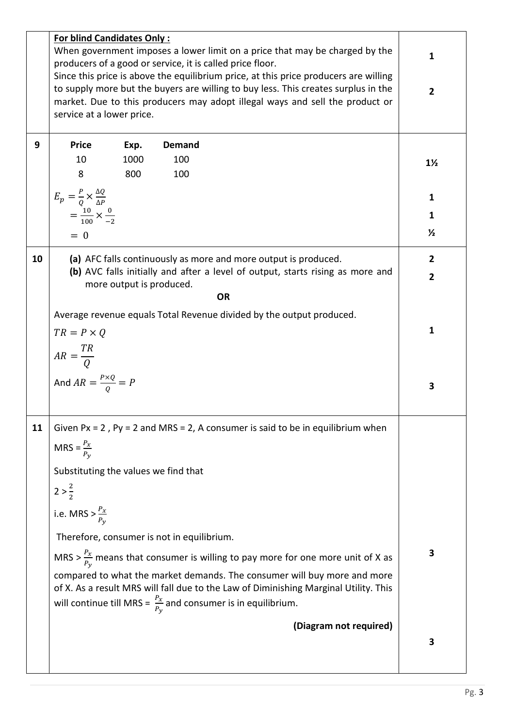|    | <b>For blind Candidates Only:</b>                                                    |              |                                                                                                                                                                                                                                                |                |  |
|----|--------------------------------------------------------------------------------------|--------------|------------------------------------------------------------------------------------------------------------------------------------------------------------------------------------------------------------------------------------------------|----------------|--|
|    | When government imposes a lower limit on a price that may be charged by the          | $\mathbf{1}$ |                                                                                                                                                                                                                                                |                |  |
|    | producers of a good or service, it is called price floor.                            |              |                                                                                                                                                                                                                                                |                |  |
|    | Since this price is above the equilibrium price, at this price producers are willing |              |                                                                                                                                                                                                                                                |                |  |
|    |                                                                                      |              | to supply more but the buyers are willing to buy less. This creates surplus in the                                                                                                                                                             | $\overline{2}$ |  |
|    | service at a lower price.                                                            |              | market. Due to this producers may adopt illegal ways and sell the product or                                                                                                                                                                   |                |  |
|    |                                                                                      |              |                                                                                                                                                                                                                                                |                |  |
| 9  | <b>Price</b>                                                                         | Exp.         | <b>Demand</b>                                                                                                                                                                                                                                  |                |  |
|    | 10                                                                                   | 1000         | 100                                                                                                                                                                                                                                            |                |  |
|    | 8                                                                                    | 800          | 100                                                                                                                                                                                                                                            | $1\frac{1}{2}$ |  |
|    |                                                                                      |              |                                                                                                                                                                                                                                                |                |  |
|    | $E_p = \frac{P}{Q} \times \frac{\Delta Q}{\Delta P}$                                 |              |                                                                                                                                                                                                                                                | 1              |  |
|    | $=\frac{10}{100} \times \frac{0}{-2}$                                                |              |                                                                                                                                                                                                                                                | 1              |  |
|    |                                                                                      |              |                                                                                                                                                                                                                                                |                |  |
|    | $= 0$                                                                                |              |                                                                                                                                                                                                                                                | $\frac{1}{2}$  |  |
| 10 |                                                                                      |              | (a) AFC falls continuously as more and more output is produced.                                                                                                                                                                                | $\overline{2}$ |  |
|    |                                                                                      |              | (b) AVC falls initially and after a level of output, starts rising as more and                                                                                                                                                                 |                |  |
|    |                                                                                      |              | more output is produced.                                                                                                                                                                                                                       | $\overline{2}$ |  |
|    |                                                                                      |              | <b>OR</b>                                                                                                                                                                                                                                      |                |  |
|    |                                                                                      |              | Average revenue equals Total Revenue divided by the output produced.                                                                                                                                                                           |                |  |
|    | $TR = P \times Q$                                                                    |              |                                                                                                                                                                                                                                                | $\mathbf{1}$   |  |
|    |                                                                                      |              |                                                                                                                                                                                                                                                |                |  |
|    | $AR = \frac{TR}{Q}$                                                                  |              |                                                                                                                                                                                                                                                |                |  |
|    |                                                                                      |              |                                                                                                                                                                                                                                                |                |  |
|    | And $AR = \frac{P \times Q}{Q} = P$                                                  |              |                                                                                                                                                                                                                                                | 3              |  |
|    |                                                                                      |              |                                                                                                                                                                                                                                                |                |  |
|    |                                                                                      |              |                                                                                                                                                                                                                                                |                |  |
| 11 |                                                                                      |              | Given $Px = 2$ , $Py = 2$ and MRS = 2, A consumer is said to be in equilibrium when                                                                                                                                                            |                |  |
|    | MRS = $\frac{P_x}{P_v}$                                                              |              |                                                                                                                                                                                                                                                |                |  |
|    | Substituting the values we find that                                                 |              |                                                                                                                                                                                                                                                |                |  |
|    | $2>\frac{2}{2}$                                                                      |              |                                                                                                                                                                                                                                                |                |  |
|    | i.e. MRS > $\frac{P_x}{P_y}$                                                         |              |                                                                                                                                                                                                                                                |                |  |
|    |                                                                                      |              | Therefore, consumer is not in equilibrium.                                                                                                                                                                                                     |                |  |
|    |                                                                                      |              | MRS > $\frac{P_x}{P_y}$ means that consumer is willing to pay more for one more unit of X as                                                                                                                                                   | 3              |  |
|    |                                                                                      |              | compared to what the market demands. The consumer will buy more and more<br>of X. As a result MRS will fall due to the Law of Diminishing Marginal Utility. This<br>will continue till MRS = $\frac{P_x}{P_y}$ and consumer is in equilibrium. |                |  |
|    |                                                                                      |              | (Diagram not required)                                                                                                                                                                                                                         |                |  |
|    |                                                                                      |              |                                                                                                                                                                                                                                                | 3              |  |
|    |                                                                                      |              |                                                                                                                                                                                                                                                |                |  |
|    |                                                                                      |              |                                                                                                                                                                                                                                                |                |  |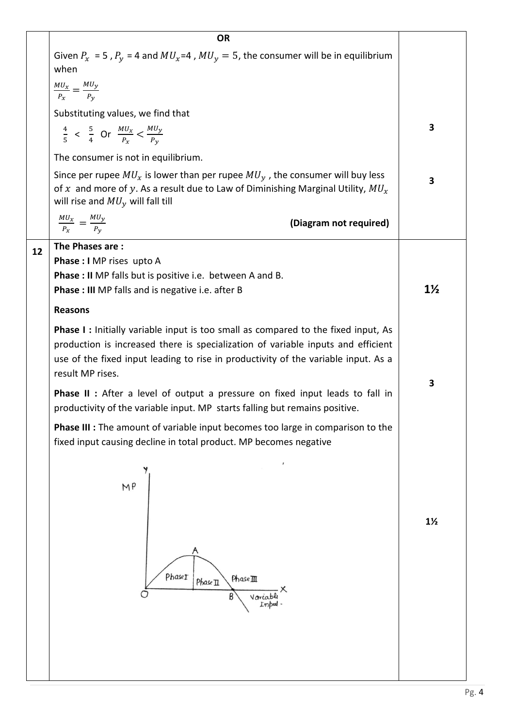|    | <b>OR</b>                                                                                                                                                                                                                                                                              |                |  |  |  |
|----|----------------------------------------------------------------------------------------------------------------------------------------------------------------------------------------------------------------------------------------------------------------------------------------|----------------|--|--|--|
|    | Given $P_x = 5$ , $P_y = 4$ and $MU_x = 4$ , $MU_y = 5$ , the consumer will be in equilibrium<br>when                                                                                                                                                                                  |                |  |  |  |
|    | $\frac{MU_x}{P_x} = \frac{MU_y}{P_y}$                                                                                                                                                                                                                                                  |                |  |  |  |
|    | Substituting values, we find that                                                                                                                                                                                                                                                      |                |  |  |  |
|    | $\frac{4}{5}$ < $\frac{5}{4}$ Or $\frac{MU_x}{P_x}$ < $\frac{MU_y}{P_y}$                                                                                                                                                                                                               | 3              |  |  |  |
|    | The consumer is not in equilibrium.                                                                                                                                                                                                                                                    |                |  |  |  |
|    | Since per rupee $MU_x$ is lower than per rupee $MU_y$ , the consumer will buy less<br>of x and more of y. As a result due to Law of Diminishing Marginal Utility, $MU_x$<br>will rise and $MU_y$ will fall till                                                                        | 3              |  |  |  |
|    | $\frac{MU_x}{P_x} = \frac{MU_y}{P_y}$<br>(Diagram not required)                                                                                                                                                                                                                        |                |  |  |  |
| 12 | The Phases are:                                                                                                                                                                                                                                                                        |                |  |  |  |
|    | Phase: I MP rises upto A                                                                                                                                                                                                                                                               |                |  |  |  |
|    | <b>Phase : II</b> MP falls but is positive i.e. between A and B.<br><b>Phase: III</b> MP falls and is negative i.e. after B                                                                                                                                                            | $1\frac{1}{2}$ |  |  |  |
|    | <b>Reasons</b>                                                                                                                                                                                                                                                                         |                |  |  |  |
|    |                                                                                                                                                                                                                                                                                        |                |  |  |  |
|    | <b>Phase I:</b> Initially variable input is too small as compared to the fixed input, As<br>production is increased there is specialization of variable inputs and efficient<br>use of the fixed input leading to rise in productivity of the variable input. As a<br>result MP rises. |                |  |  |  |
|    | <b>Phase II :</b> After a level of output a pressure on fixed input leads to fall in<br>productivity of the variable input. MP starts falling but remains positive.                                                                                                                    | 3              |  |  |  |
|    | <b>Phase III :</b> The amount of variable input becomes too large in comparison to the<br>fixed input causing decline in total product. MP becomes negative                                                                                                                            |                |  |  |  |
|    | M <sub>p</sub>                                                                                                                                                                                                                                                                         |                |  |  |  |
|    | Phaset<br>PhaseIII<br>Phase II                                                                                                                                                                                                                                                         | $1\frac{1}{2}$ |  |  |  |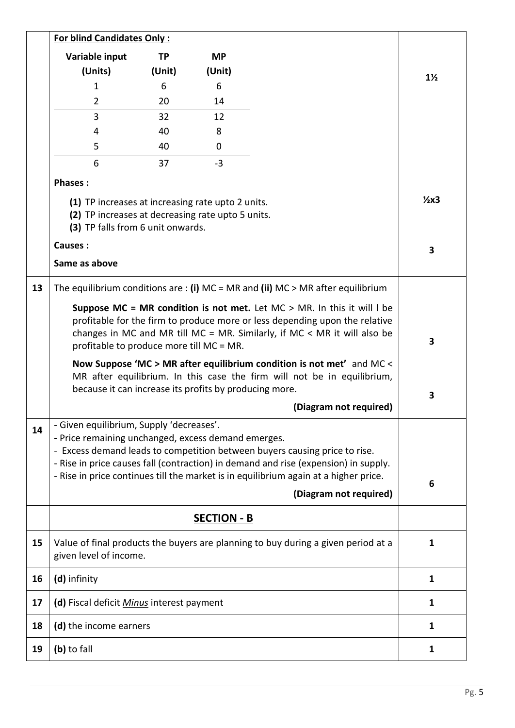|    | <b>For blind Candidates Only:</b>                                                                                                                                                                                                                                                                                                                                                                                                                                                               |           |           |                                                                                     |                |
|----|-------------------------------------------------------------------------------------------------------------------------------------------------------------------------------------------------------------------------------------------------------------------------------------------------------------------------------------------------------------------------------------------------------------------------------------------------------------------------------------------------|-----------|-----------|-------------------------------------------------------------------------------------|----------------|
|    | Variable input                                                                                                                                                                                                                                                                                                                                                                                                                                                                                  | <b>TP</b> | <b>MP</b> |                                                                                     |                |
|    | (Units)                                                                                                                                                                                                                                                                                                                                                                                                                                                                                         | (Unit)    | (Unit)    |                                                                                     | $1\frac{1}{2}$ |
|    | 1                                                                                                                                                                                                                                                                                                                                                                                                                                                                                               | 6         | 6         |                                                                                     |                |
|    | $\overline{2}$                                                                                                                                                                                                                                                                                                                                                                                                                                                                                  | 20        | 14        |                                                                                     |                |
|    | $\overline{3}$                                                                                                                                                                                                                                                                                                                                                                                                                                                                                  | 32        | 12        |                                                                                     |                |
|    | 4                                                                                                                                                                                                                                                                                                                                                                                                                                                                                               | 40        | 8         |                                                                                     |                |
|    | 5                                                                                                                                                                                                                                                                                                                                                                                                                                                                                               | 40        | 0         |                                                                                     |                |
|    | 6                                                                                                                                                                                                                                                                                                                                                                                                                                                                                               | 37        | $-3$      |                                                                                     |                |
|    | <b>Phases:</b>                                                                                                                                                                                                                                                                                                                                                                                                                                                                                  |           |           |                                                                                     |                |
|    | (1) TP increases at increasing rate upto 2 units.<br>(2) TP increases at decreasing rate upto 5 units.<br>(3) TP falls from 6 unit onwards.                                                                                                                                                                                                                                                                                                                                                     |           |           |                                                                                     |                |
|    | Causes:                                                                                                                                                                                                                                                                                                                                                                                                                                                                                         |           |           |                                                                                     | 3              |
|    | Same as above                                                                                                                                                                                                                                                                                                                                                                                                                                                                                   |           |           |                                                                                     |                |
| 13 |                                                                                                                                                                                                                                                                                                                                                                                                                                                                                                 |           |           | The equilibrium conditions are : (i) $MC = MR$ and (ii) $MC > MR$ after equilibrium |                |
|    | Suppose MC = MR condition is not met. Let $MC > MR$ . In this it will I be<br>profitable for the firm to produce more or less depending upon the relative<br>changes in MC and MR till MC = MR. Similarly, if MC < MR it will also be<br>profitable to produce more till MC = MR.<br>Now Suppose 'MC > MR after equilibrium condition is not met' and MC <<br>MR after equilibrium. In this case the firm will not be in equilibrium,<br>because it can increase its profits by producing more. |           |           |                                                                                     |                |
|    |                                                                                                                                                                                                                                                                                                                                                                                                                                                                                                 | 3         |           |                                                                                     |                |
| 14 | - Given equilibrium, Supply 'decreases'.<br>- Price remaining unchanged, excess demand emerges.<br>- Excess demand leads to competition between buyers causing price to rise.<br>- Rise in price causes fall (contraction) in demand and rise (expension) in supply.<br>- Rise in price continues till the market is in equilibrium again at a higher price.                                                                                                                                    | 6         |           |                                                                                     |                |
|    |                                                                                                                                                                                                                                                                                                                                                                                                                                                                                                 |           |           |                                                                                     |                |
|    |                                                                                                                                                                                                                                                                                                                                                                                                                                                                                                 |           |           |                                                                                     |                |
| 15 | given level of income.                                                                                                                                                                                                                                                                                                                                                                                                                                                                          |           |           | Value of final products the buyers are planning to buy during a given period at a   | 1              |
| 16 | (d) infinity                                                                                                                                                                                                                                                                                                                                                                                                                                                                                    |           |           |                                                                                     | $\mathbf{1}$   |
| 17 | (d) Fiscal deficit Minus interest payment                                                                                                                                                                                                                                                                                                                                                                                                                                                       |           |           |                                                                                     | 1              |
| 18 | (d) the income earners                                                                                                                                                                                                                                                                                                                                                                                                                                                                          |           |           |                                                                                     | 1              |
| 19 | (b) to fall                                                                                                                                                                                                                                                                                                                                                                                                                                                                                     |           |           |                                                                                     | 1              |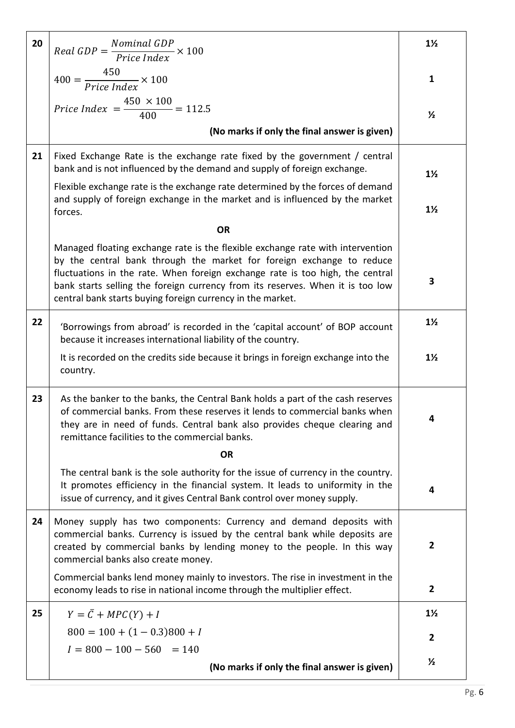| 20 | $Real GDP = \frac{Nominal GDP}{Price Index} \times 100$                                                                                                                                                                                                                                                | $1\frac{1}{2}$ |
|----|--------------------------------------------------------------------------------------------------------------------------------------------------------------------------------------------------------------------------------------------------------------------------------------------------------|----------------|
|    | $400 = \frac{450}{Price Index} \times 100$                                                                                                                                                                                                                                                             | $\mathbf{1}$   |
|    | <i>Price Index</i> = $\frac{450 \times 100}{400}$ = 112.5                                                                                                                                                                                                                                              | $\frac{1}{2}$  |
|    | (No marks if only the final answer is given)                                                                                                                                                                                                                                                           |                |
| 21 | Fixed Exchange Rate is the exchange rate fixed by the government / central<br>bank and is not influenced by the demand and supply of foreign exchange.                                                                                                                                                 | $1\frac{1}{2}$ |
|    | Flexible exchange rate is the exchange rate determined by the forces of demand<br>and supply of foreign exchange in the market and is influenced by the market                                                                                                                                         | $1\frac{1}{2}$ |
|    | forces.<br><b>OR</b>                                                                                                                                                                                                                                                                                   |                |
|    | Managed floating exchange rate is the flexible exchange rate with intervention                                                                                                                                                                                                                         |                |
|    | by the central bank through the market for foreign exchange to reduce<br>fluctuations in the rate. When foreign exchange rate is too high, the central<br>bank starts selling the foreign currency from its reserves. When it is too low<br>central bank starts buying foreign currency in the market. | 3              |
| 22 | 'Borrowings from abroad' is recorded in the 'capital account' of BOP account<br>because it increases international liability of the country.                                                                                                                                                           | $1\frac{1}{2}$ |
|    | It is recorded on the credits side because it brings in foreign exchange into the<br>country.                                                                                                                                                                                                          | $1\frac{1}{2}$ |
| 23 | As the banker to the banks, the Central Bank holds a part of the cash reserves<br>of commercial banks. From these reserves it lends to commercial banks when<br>they are in need of funds. Central bank also provides cheque clearing and<br>remittance facilities to the commercial banks.            | 4              |
|    | <b>OR</b>                                                                                                                                                                                                                                                                                              |                |
|    | The central bank is the sole authority for the issue of currency in the country.<br>It promotes efficiency in the financial system. It leads to uniformity in the<br>issue of currency, and it gives Central Bank control over money supply.                                                           | 4              |
| 24 | Money supply has two components: Currency and demand deposits with<br>commercial banks. Currency is issued by the central bank while deposits are<br>created by commercial banks by lending money to the people. In this way<br>commercial banks also create money.                                    | $\overline{2}$ |
|    | Commercial banks lend money mainly to investors. The rise in investment in the<br>economy leads to rise in national income through the multiplier effect.                                                                                                                                              | $\overline{2}$ |
| 25 | $Y = \overline{C} + MPC(Y) + I$                                                                                                                                                                                                                                                                        | $1\frac{1}{2}$ |
|    | $800 = 100 + (1 - 0.3)800 + I$                                                                                                                                                                                                                                                                         | $\mathbf{2}$   |
|    | $I = 800 - 100 - 560 = 140$                                                                                                                                                                                                                                                                            |                |
|    | (No marks if only the final answer is given)                                                                                                                                                                                                                                                           | $\frac{1}{2}$  |